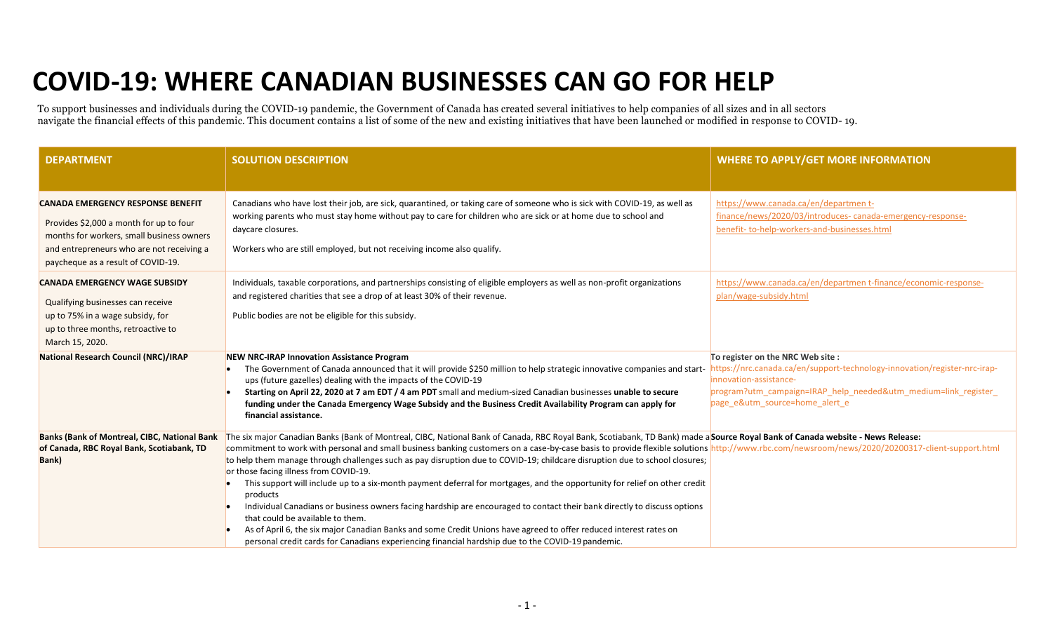## **COVID-19: WHERE CANADIAN BUSINESSES CAN GO FOR HELP**

To support businesses and individuals during the COVID-19 pandemic, the Government of Canada has created several initiatives to help companies of all sizes and in all sectors navigate the financial effects of this pandemic. This document contains a list of some of the new and existing initiatives that have been launched or modified in response to COVID- 19.

| <b>DEPARTMENT</b>                                                                                                                                                                                                   | <b>SOLUTION DESCRIPTION</b>                                                                                                                                                                                                                                                                                                                                                                                                                                                                                                                                                                                                                                                                                                                                                                                                                                                                                                                                                                                                                                                                  | <b>WHERE TO APPLY/GET MORE INFORMATION</b>                                                                                                                                                                                                   |
|---------------------------------------------------------------------------------------------------------------------------------------------------------------------------------------------------------------------|----------------------------------------------------------------------------------------------------------------------------------------------------------------------------------------------------------------------------------------------------------------------------------------------------------------------------------------------------------------------------------------------------------------------------------------------------------------------------------------------------------------------------------------------------------------------------------------------------------------------------------------------------------------------------------------------------------------------------------------------------------------------------------------------------------------------------------------------------------------------------------------------------------------------------------------------------------------------------------------------------------------------------------------------------------------------------------------------|----------------------------------------------------------------------------------------------------------------------------------------------------------------------------------------------------------------------------------------------|
|                                                                                                                                                                                                                     |                                                                                                                                                                                                                                                                                                                                                                                                                                                                                                                                                                                                                                                                                                                                                                                                                                                                                                                                                                                                                                                                                              |                                                                                                                                                                                                                                              |
| <b>CANADA EMERGENCY RESPONSE BENEFIT</b><br>Provides \$2,000 a month for up to four<br>months for workers, small business owners<br>and entrepreneurs who are not receiving a<br>paycheque as a result of COVID-19. | Canadians who have lost their job, are sick, quarantined, or taking care of someone who is sick with COVID-19, as well as<br>working parents who must stay home without pay to care for children who are sick or at home due to school and<br>daycare closures.<br>Workers who are still employed, but not receiving income also qualify.                                                                                                                                                                                                                                                                                                                                                                                                                                                                                                                                                                                                                                                                                                                                                    | https://www.canada.ca/en/department-<br>finance/news/2020/03/introduces-canada-emergency-response-<br>benefit-to-help-workers-and-businesses.html                                                                                            |
| <b>CANADA EMERGENCY WAGE SUBSIDY</b><br>Qualifying businesses can receive<br>up to 75% in a wage subsidy, for<br>up to three months, retroactive to<br>March 15, 2020.                                              | Individuals, taxable corporations, and partnerships consisting of eligible employers as well as non-profit organizations<br>and registered charities that see a drop of at least 30% of their revenue.<br>Public bodies are not be eligible for this subsidy.                                                                                                                                                                                                                                                                                                                                                                                                                                                                                                                                                                                                                                                                                                                                                                                                                                | https://www.canada.ca/en/departmen t-finance/economic-response-<br>plan/wage-subsidy.html                                                                                                                                                    |
| National Research Council (NRC)/IRAP                                                                                                                                                                                | <b>NEW NRC-IRAP Innovation Assistance Program</b><br>The Government of Canada announced that it will provide \$250 million to help strategic innovative companies and start-<br>ups (future gazelles) dealing with the impacts of the COVID-19<br>Starting on April 22, 2020 at 7 am EDT / 4 am PDT small and medium-sized Canadian businesses unable to secure<br>funding under the Canada Emergency Wage Subsidy and the Business Credit Availability Program can apply for<br>financial assistance.                                                                                                                                                                                                                                                                                                                                                                                                                                                                                                                                                                                       | To register on the NRC Web site :<br>https://nrc.canada.ca/en/support-technology-innovation/register-nrc-irap-<br>innovation-assistance-<br>program?utm campaign=IRAP help needed&utm medium=link register<br>page_e&utm_source=home_alert_e |
| <b>Banks (Bank of Montreal, CIBC, National Bank</b><br>of Canada, RBC Royal Bank, Scotiabank, TD<br>Bank)                                                                                                           | The six major Canadian Banks (Bank of Montreal, CIBC, National Bank of Canada, RBC Royal Bank, Scotiabank, TD Bank) made aSource Royal Bank of Canada website - News Release:<br>commitment to work with personal and small business banking customers on a case-by-case basis to provide flexible solutions http://www.rbc.com/newsroom/news/2020/20200317-client-support.html<br>to help them manage through challenges such as pay disruption due to COVID-19; childcare disruption due to school closures;<br>or those facing illness from COVID-19.<br>This support will include up to a six-month payment deferral for mortgages, and the opportunity for relief on other credit<br>products<br>Individual Canadians or business owners facing hardship are encouraged to contact their bank directly to discuss options<br>that could be available to them.<br>As of April 6, the six major Canadian Banks and some Credit Unions have agreed to offer reduced interest rates on<br>personal credit cards for Canadians experiencing financial hardship due to the COVID-19 pandemic. |                                                                                                                                                                                                                                              |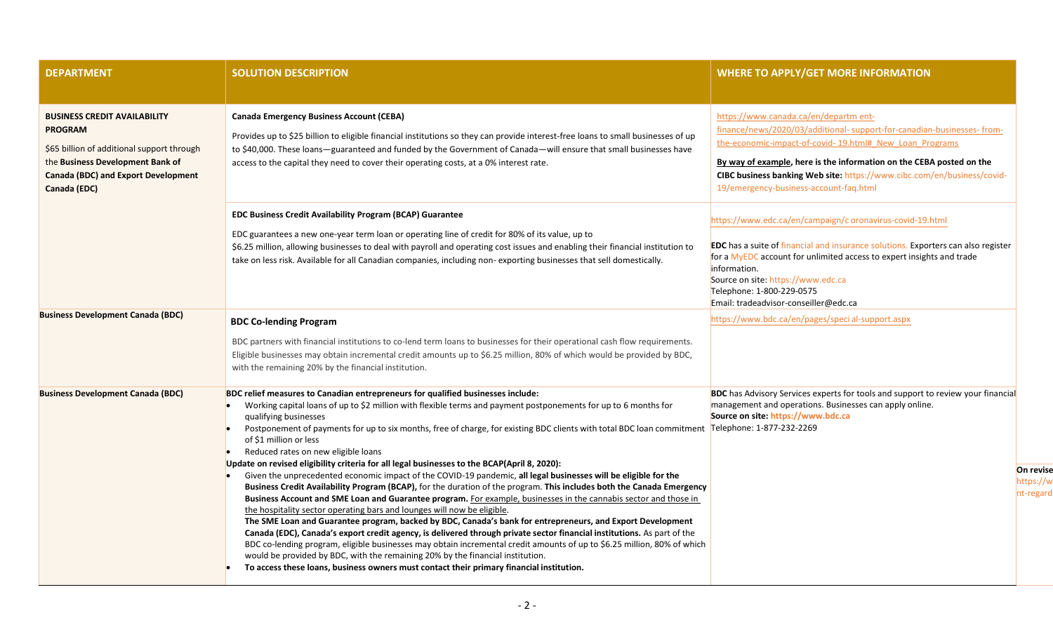| <b>DEPARTMENT</b>                                                                                                                                                                              | <b>SOLUTION DESCRIPTION</b>                                                                                                                                                                                                                                                                                                                                                                                                                                                                                                                                                                                                                                                                                                                                                                                                                                                                                                                                                                                                                                                                                                                                                                                                                                                                                                                                                                                                                                                                                                                  | <b>WHERE TO APPLY/GET MORE INFORMATION</b>                                                                                                                                                                                                                                                                                                                             |
|------------------------------------------------------------------------------------------------------------------------------------------------------------------------------------------------|----------------------------------------------------------------------------------------------------------------------------------------------------------------------------------------------------------------------------------------------------------------------------------------------------------------------------------------------------------------------------------------------------------------------------------------------------------------------------------------------------------------------------------------------------------------------------------------------------------------------------------------------------------------------------------------------------------------------------------------------------------------------------------------------------------------------------------------------------------------------------------------------------------------------------------------------------------------------------------------------------------------------------------------------------------------------------------------------------------------------------------------------------------------------------------------------------------------------------------------------------------------------------------------------------------------------------------------------------------------------------------------------------------------------------------------------------------------------------------------------------------------------------------------------|------------------------------------------------------------------------------------------------------------------------------------------------------------------------------------------------------------------------------------------------------------------------------------------------------------------------------------------------------------------------|
| <b>BUSINESS CREDIT AVAILABILITY</b><br><b>PROGRAM</b><br>\$65 billion of additional support through<br>the Business Development Bank of<br>Canada (BDC) and Export Development<br>Canada (EDC) | <b>Canada Emergency Business Account (CEBA)</b><br>Provides up to \$25 billion to eligible financial institutions so they can provide interest-free loans to small businesses of up<br>to \$40,000. These loans—guaranteed and funded by the Government of Canada—will ensure that small businesses have<br>access to the capital they need to cover their operating costs, at a 0% interest rate.                                                                                                                                                                                                                                                                                                                                                                                                                                                                                                                                                                                                                                                                                                                                                                                                                                                                                                                                                                                                                                                                                                                                           | https://www.canada.ca/en/departm ent-<br>finance/news/2020/03/additional-support-for-canadian-businesses-from-<br>the-economic-impact-of-covid-19.html# New Loan Programs<br>By way of example, here is the information on the CEBA posted on the<br>CIBC business banking Web site: https://www.cibc.com/en/business/covid-<br>19/emergency-business-account-faq.html |
|                                                                                                                                                                                                | <b>EDC Business Credit Availability Program (BCAP) Guarantee</b><br>EDC guarantees a new one-year term loan or operating line of credit for 80% of its value, up to<br>\$6.25 million, allowing businesses to deal with payroll and operating cost issues and enabling their financial institution to<br>take on less risk. Available for all Canadian companies, including non-exporting businesses that sell domestically.                                                                                                                                                                                                                                                                                                                                                                                                                                                                                                                                                                                                                                                                                                                                                                                                                                                                                                                                                                                                                                                                                                                 | https://www.edc.ca/en/campaign/c oronavirus-covid-19.html<br><b>EDC</b> has a suite of financial and insurance solutions. Exporters can also register<br>for a MyEDC account for unlimited access to expert insights and trade<br>information.<br>Source on site: https://www.edc.ca<br>Telephone: 1-800-229-0575<br>Email: tradeadvisor-conseiller@edc.ca             |
| <b>Business Development Canada (BDC)</b>                                                                                                                                                       | <b>BDC Co-lending Program</b><br>BDC partners with financial institutions to co-lend term loans to businesses for their operational cash flow requirements.<br>Eligible businesses may obtain incremental credit amounts up to \$6.25 million, 80% of which would be provided by BDC,<br>with the remaining 20% by the financial institution.                                                                                                                                                                                                                                                                                                                                                                                                                                                                                                                                                                                                                                                                                                                                                                                                                                                                                                                                                                                                                                                                                                                                                                                                | https://www.bdc.ca/en/pages/special-support.aspx                                                                                                                                                                                                                                                                                                                       |
| <b>Business Development Canada (BDC)</b>                                                                                                                                                       | BDC relief measures to Canadian entrepreneurs for qualified businesses include:<br>Working capital loans of up to \$2 million with flexible terms and payment postponements for up to 6 months for<br>qualifying businesses<br>Postponement of payments for up to six months, free of charge, for existing BDC clients with total BDC loan commitment Telephone: 1-877-232-2269<br>of \$1 million or less<br>Reduced rates on new eligible loans<br>Update on revised eligibility criteria for all legal businesses to the BCAP(April 8, 2020):<br>Given the unprecedented economic impact of the COVID-19 pandemic, all legal businesses will be eligible for the<br>Business Credit Availability Program (BCAP), for the duration of the program. This includes both the Canada Emergency<br>Business Account and SME Loan and Guarantee program. For example, businesses in the cannabis sector and those in<br>the hospitality sector operating bars and lounges will now be eligible.<br>The SME Loan and Guarantee program, backed by BDC, Canada's bank for entrepreneurs, and Export Development<br>Canada (EDC), Canada's export credit agency, is delivered through private sector financial institutions. As part of the<br>BDC co-lending program, eligible businesses may obtain incremental credit amounts of up to \$6.25 million, 80% of which<br>would be provided by BDC, with the remaining 20% by the financial institution.<br>To access these loans, business owners must contact their primary financial institution. | <b>BDC</b> has Advisory Services experts for tools and support to review your financial<br>management and operations. Businesses can apply online.<br>Source on site: https://www.bdc.ca                                                                                                                                                                               |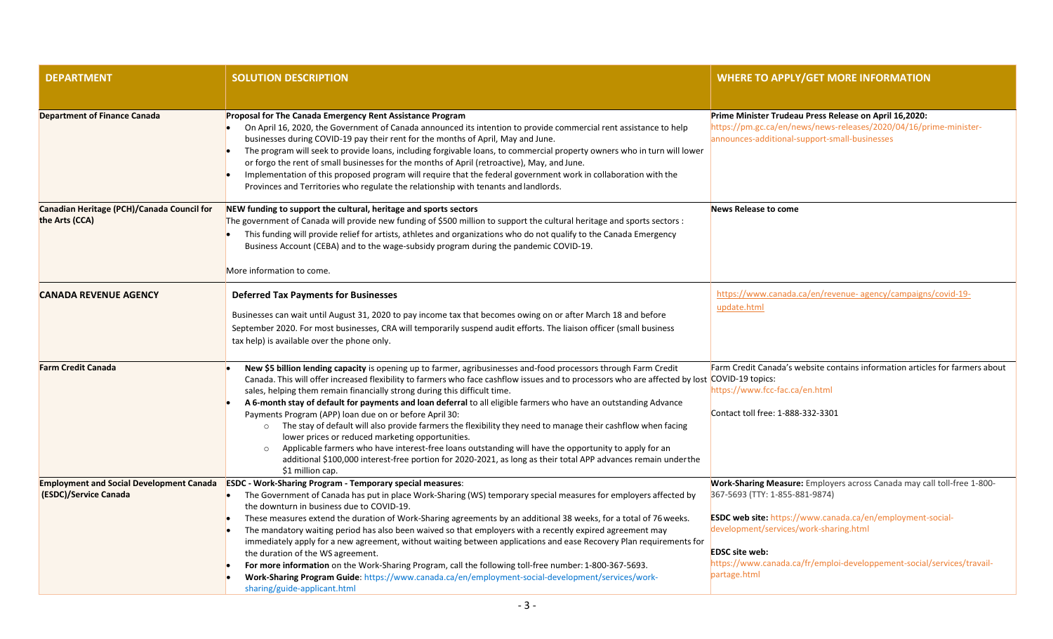| <b>DEPARTMENT</b>                                            | <b>SOLUTION DESCRIPTION</b>                                                                                                                                                                                                                                                                                                                                                                                                                                                                                                                                                                                                                                                                                                                                                                                                                                                                                                                                  | <b>WHERE TO APPLY/GET MORE INFORMATION</b>                                                                                                                                                                                                                       |
|--------------------------------------------------------------|--------------------------------------------------------------------------------------------------------------------------------------------------------------------------------------------------------------------------------------------------------------------------------------------------------------------------------------------------------------------------------------------------------------------------------------------------------------------------------------------------------------------------------------------------------------------------------------------------------------------------------------------------------------------------------------------------------------------------------------------------------------------------------------------------------------------------------------------------------------------------------------------------------------------------------------------------------------|------------------------------------------------------------------------------------------------------------------------------------------------------------------------------------------------------------------------------------------------------------------|
|                                                              |                                                                                                                                                                                                                                                                                                                                                                                                                                                                                                                                                                                                                                                                                                                                                                                                                                                                                                                                                              |                                                                                                                                                                                                                                                                  |
| <b>Department of Finance Canada</b>                          | Proposal for The Canada Emergency Rent Assistance Program<br>On April 16, 2020, the Government of Canada announced its intention to provide commercial rent assistance to help<br>businesses during COVID-19 pay their rent for the months of April, May and June.<br>The program will seek to provide loans, including forgivable loans, to commercial property owners who in turn will lower<br>or forgo the rent of small businesses for the months of April (retroactive), May, and June.<br>Implementation of this proposed program will require that the federal government work in collaboration with the<br>Provinces and Territories who regulate the relationship with tenants and landlords.                                                                                                                                                                                                                                                      | Prime Minister Trudeau Press Release on April 16,2020:<br>https://pm.gc.ca/en/news/news-releases/2020/04/16/prime-minister-<br>announces-additional-support-small-businesses                                                                                     |
| Canadian Heritage (PCH)/Canada Council for<br>the Arts (CCA) | NEW funding to support the cultural, heritage and sports sectors<br>The government of Canada will provide new funding of \$500 million to support the cultural heritage and sports sectors :<br>This funding will provide relief for artists, athletes and organizations who do not qualify to the Canada Emergency<br>Business Account (CEBA) and to the wage-subsidy program during the pandemic COVID-19.<br>More information to come.                                                                                                                                                                                                                                                                                                                                                                                                                                                                                                                    | News Release to come                                                                                                                                                                                                                                             |
| <b>CANADA REVENUE AGENCY</b>                                 | <b>Deferred Tax Payments for Businesses</b>                                                                                                                                                                                                                                                                                                                                                                                                                                                                                                                                                                                                                                                                                                                                                                                                                                                                                                                  | https://www.canada.ca/en/revenue- agency/campaigns/covid-19-                                                                                                                                                                                                     |
|                                                              | Businesses can wait until August 31, 2020 to pay income tax that becomes owing on or after March 18 and before<br>September 2020. For most businesses, CRA will temporarily suspend audit efforts. The liaison officer (small business<br>tax help) is available over the phone only.                                                                                                                                                                                                                                                                                                                                                                                                                                                                                                                                                                                                                                                                        | update.html                                                                                                                                                                                                                                                      |
| <b>Farm Credit Canada</b>                                    | New \$5 billion lending capacity is opening up to farmer, agribusinesses and-food processors through Farm Credit<br>Canada. This will offer increased flexibility to farmers who face cashflow issues and to processors who are affected by lost COVID-19 topics:<br>sales, helping them remain financially strong during this difficult time.<br>A 6-month stay of default for payments and loan deferral to all eligible farmers who have an outstanding Advance<br>Payments Program (APP) loan due on or before April 30:<br>o The stay of default will also provide farmers the flexibility they need to manage their cashflow when facing<br>lower prices or reduced marketing opportunities.<br>Applicable farmers who have interest-free loans outstanding will have the opportunity to apply for an<br>$\circ$<br>additional \$100,000 interest-free portion for 2020-2021, as long as their total APP advances remain under the<br>\$1 million cap. | Farm Credit Canada's website contains information articles for farmers about<br>https://www.fcc-fac.ca/en.html<br>Contact toll free: 1-888-332-3301                                                                                                              |
| <b>Employment and Social Development Canada</b>              | <b>ESDC</b> - Work-Sharing Program - Temporary special measures:                                                                                                                                                                                                                                                                                                                                                                                                                                                                                                                                                                                                                                                                                                                                                                                                                                                                                             | Work-Sharing Measure: Employers across Canada may call toll-free 1-800-                                                                                                                                                                                          |
| (ESDC)/Service Canada                                        | The Government of Canada has put in place Work-Sharing (WS) temporary special measures for employers affected by<br>the downturn in business due to COVID-19.<br>These measures extend the duration of Work-Sharing agreements by an additional 38 weeks, for a total of 76 weeks.<br>The mandatory waiting period has also been waived so that employers with a recently expired agreement may<br>immediately apply for a new agreement, without waiting between applications and ease Recovery Plan requirements for<br>the duration of the WS agreement.<br>For more information on the Work-Sharing Program, call the following toll-free number: 1-800-367-5693.<br>Work-Sharing Program Guide: https://www.canada.ca/en/employment-social-development/services/work-<br>sharing/guide-applicant.html                                                                                                                                                   | 367-5693 (TTY: 1-855-881-9874)<br><b>ESDC web site:</b> https://www.canada.ca/en/employment-social-<br>development/services/work-sharing.html<br><b>EDSC</b> site web:<br>https://www.canada.ca/fr/emploi-developpement-social/services/travail-<br>partage.html |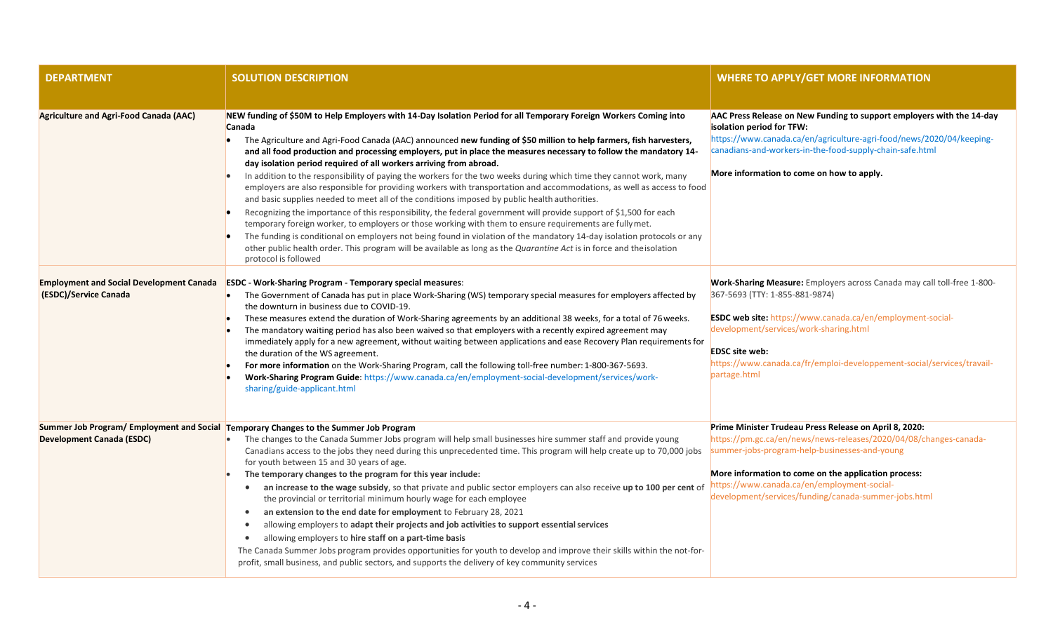| <b>DEPARTMENT</b>                      | <b>SOLUTION DESCRIPTION</b>                                                                                                                                                                                                                                                                                                                                                                                                                                                                                                                                                                                                                                                                                                                                                                                                                                                                                                                                                                                                                                                                                                                                                                                                                                                                                | <b>WHERE TO APPLY/GET MORE INFORMATION</b>                                                                                                                                                                                                                                                                                                  |
|----------------------------------------|------------------------------------------------------------------------------------------------------------------------------------------------------------------------------------------------------------------------------------------------------------------------------------------------------------------------------------------------------------------------------------------------------------------------------------------------------------------------------------------------------------------------------------------------------------------------------------------------------------------------------------------------------------------------------------------------------------------------------------------------------------------------------------------------------------------------------------------------------------------------------------------------------------------------------------------------------------------------------------------------------------------------------------------------------------------------------------------------------------------------------------------------------------------------------------------------------------------------------------------------------------------------------------------------------------|---------------------------------------------------------------------------------------------------------------------------------------------------------------------------------------------------------------------------------------------------------------------------------------------------------------------------------------------|
|                                        |                                                                                                                                                                                                                                                                                                                                                                                                                                                                                                                                                                                                                                                                                                                                                                                                                                                                                                                                                                                                                                                                                                                                                                                                                                                                                                            |                                                                                                                                                                                                                                                                                                                                             |
| Agriculture and Agri-Food Canada (AAC) | NEW funding of \$50M to Help Employers with 14-Day Isolation Period for all Temporary Foreign Workers Coming into<br>Canada<br>The Agriculture and Agri-Food Canada (AAC) announced new funding of \$50 million to help farmers, fish harvesters,<br>and all food production and processing employers, put in place the measures necessary to follow the mandatory 14-<br>day isolation period required of all workers arriving from abroad.<br>In addition to the responsibility of paying the workers for the two weeks during which time they cannot work, many<br>employers are also responsible for providing workers with transportation and accommodations, as well as access to food<br>and basic supplies needed to meet all of the conditions imposed by public health authorities.<br>Recognizing the importance of this responsibility, the federal government will provide support of \$1,500 for each<br>temporary foreign worker, to employers or those working with them to ensure requirements are fully met.<br>The funding is conditional on employers not being found in violation of the mandatory 14-day isolation protocols or any<br>other public health order. This program will be available as long as the Quarantine Act is in force and the isolation<br>protocol is followed | AAC Press Release on New Funding to support employers with the 14-day<br>isolation period for TFW:<br>https://www.canada.ca/en/agriculture-agri-food/news/2020/04/keeping-<br>canadians-and-workers-in-the-food-supply-chain-safe.html<br>More information to come on how to apply.                                                         |
| (ESDC)/Service Canada                  | Employment and Social Development Canada ESDC - Work-Sharing Program - Temporary special measures:<br>The Government of Canada has put in place Work-Sharing (WS) temporary special measures for employers affected by<br>the downturn in business due to COVID-19.<br>These measures extend the duration of Work-Sharing agreements by an additional 38 weeks, for a total of 76 weeks.<br>The mandatory waiting period has also been waived so that employers with a recently expired agreement may<br>immediately apply for a new agreement, without waiting between applications and ease Recovery Plan requirements for<br>the duration of the WS agreement.<br>For more information on the Work-Sharing Program, call the following toll-free number: 1-800-367-5693.<br>Work-Sharing Program Guide: https://www.canada.ca/en/employment-social-development/services/work-<br>sharing/guide-applicant.html                                                                                                                                                                                                                                                                                                                                                                                           | <b>Work-Sharing Measure:</b> Employers across Canada may call toll-free 1-800-<br>367-5693 (TTY: 1-855-881-9874)<br>ESDC web site: https://www.canada.ca/en/employment-social-<br>development/services/work-sharing.html<br><b>EDSC site web:</b><br>https://www.canada.ca/fr/emploi-developpement-social/services/travail-<br>partage.html |
| <b>Development Canada (ESDC)</b>       | Summer Job Program/ Employment and Social Temporary Changes to the Summer Job Program<br>The changes to the Canada Summer Jobs program will help small businesses hire summer staff and provide young<br>Canadians access to the jobs they need during this unprecedented time. This program will help create up to 70,000 jobs<br>for youth between 15 and 30 years of age.<br>The temporary changes to the program for this year include:<br>an increase to the wage subsidy, so that private and public sector employers can also receive up to 100 per cent of<br>$\bullet$<br>the provincial or territorial minimum hourly wage for each employee<br>an extension to the end date for employment to February 28, 2021<br>$\bullet$<br>allowing employers to adapt their projects and job activities to support essential services<br>$\bullet$<br>allowing employers to hire staff on a part-time basis<br>$\bullet$<br>The Canada Summer Jobs program provides opportunities for youth to develop and improve their skills within the not-for-<br>profit, small business, and public sectors, and supports the delivery of key community services                                                                                                                                                    | Prime Minister Trudeau Press Release on April 8, 2020:<br>https://pm.gc.ca/en/news/news-releases/2020/04/08/changes-canada-<br>summer-jobs-program-help-businesses-and-young<br>More information to come on the application process:<br>https://www.canada.ca/en/employment-social-<br>development/services/funding/canada-summer-jobs.html |